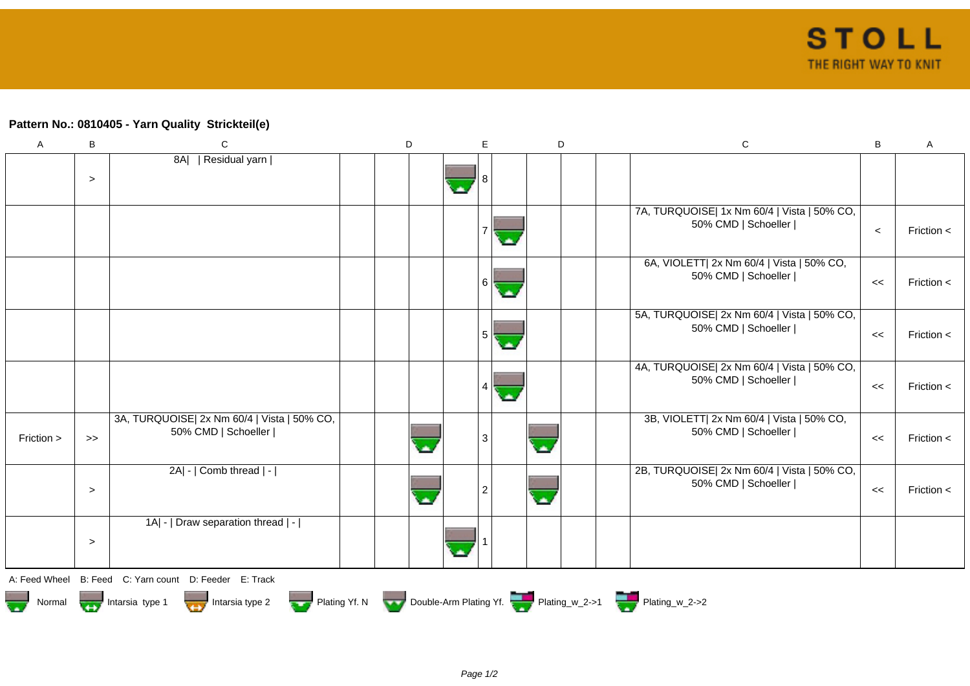## **Pattern No.: 0810405 - Yarn Quality Strickteil(e)**

| $\mathsf{A}$                                                                                                       | B      | С                                                                  | D |  |  | E              | D  |          |  | $\mathsf C$                                                        |         | A              |
|--------------------------------------------------------------------------------------------------------------------|--------|--------------------------------------------------------------------|---|--|--|----------------|----|----------|--|--------------------------------------------------------------------|---------|----------------|
|                                                                                                                    | $\geq$ | 8A   Residual yarn                                                 |   |  |  | 8              |    |          |  |                                                                    |         |                |
|                                                                                                                    |        |                                                                    |   |  |  |                |    |          |  | 7A, TURQUOISE  1x Nm 60/4   Vista   50% CO,<br>50% CMD   Schoeller | $\,<\,$ | Friction $\lt$ |
|                                                                                                                    |        |                                                                    |   |  |  | 6              | ۰. |          |  | 6A, VIOLETT  2x Nm 60/4   Vista   50% CO,<br>50% CMD   Schoeller   | $\,<$   | Friction <     |
|                                                                                                                    |        |                                                                    |   |  |  | 5              |    |          |  | 5A, TURQUOISE  2x Nm 60/4   Vista   50% CO,<br>50% CMD   Schoeller | <<      | Friction $<$   |
|                                                                                                                    |        |                                                                    |   |  |  |                |    |          |  | 4A, TURQUOISE  2x Nm 60/4   Vista   50% CO,<br>50% CMD   Schoeller | $\,<$   | Friction <     |
| Friction >                                                                                                         | $\gt$  | 3A, TURQUOISE  2x Nm 60/4   Vista   50% CO,<br>50% CMD   Schoeller |   |  |  | 3              |    | $\Delta$ |  | 3B, VIOLETT  2x Nm 60/4   Vista   50% CO,<br>50% CMD   Schoeller   | <<      | Friction $<$   |
|                                                                                                                    | $\geq$ | $2A$ - $ $ Comb thread $ $ - $ $                                   |   |  |  | $\overline{2}$ |    | $\Delta$ |  | 2B, TURQUOISE  2x Nm 60/4   Vista   50% CO,<br>50% CMD   Schoeller | $\,<$   | Friction $\lt$ |
|                                                                                                                    | $\geq$ | 1A  -   Draw separation thread   -                                 |   |  |  |                |    |          |  |                                                                    |         |                |
| A: Feed Wheel B: Feed C: Yarn count D: Feeder E: Track                                                             |        |                                                                    |   |  |  |                |    |          |  |                                                                    |         |                |
| Plating Yf. N Double-Arm Plating Yf. Plating w_2->1 Plating w_2->2<br>Intarsia type 2<br>Intarsia type 1<br>Normal |        |                                                                    |   |  |  |                |    |          |  |                                                                    |         |                |